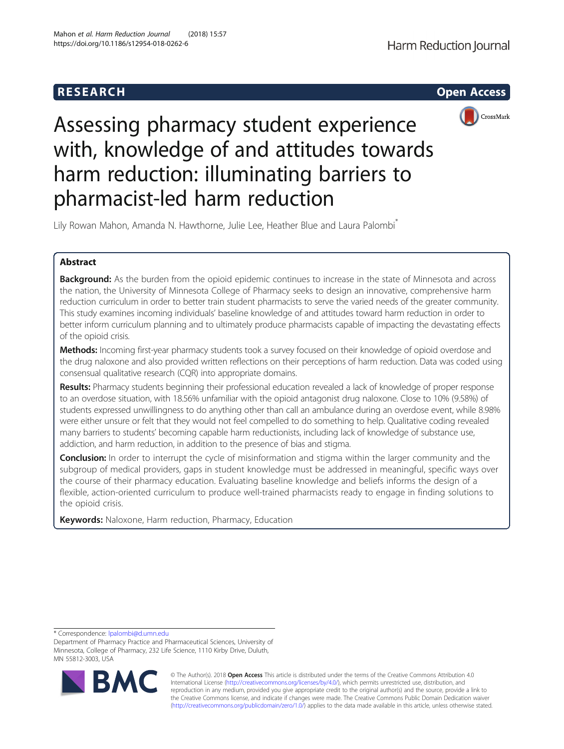# **RESEARCH CHEAR CHEAR CHEAR CHEAR CHEAR CHEAR CHEAR CHEAR CHEAR CHEAR CHEAR CHEAR CHEAR CHEAR CHEAR CHEAR CHEAR**



Assessing pharmacy student experience with, knowledge of and attitudes towards harm reduction: illuminating barriers to pharmacist-led harm reduction

Lily Rowan Mahon, Amanda N. Hawthorne, Julie Lee, Heather Blue and Laura Palombi<sup>\*</sup>

## Abstract

**Background:** As the burden from the opioid epidemic continues to increase in the state of Minnesota and across the nation, the University of Minnesota College of Pharmacy seeks to design an innovative, comprehensive harm reduction curriculum in order to better train student pharmacists to serve the varied needs of the greater community. This study examines incoming individuals' baseline knowledge of and attitudes toward harm reduction in order to better inform curriculum planning and to ultimately produce pharmacists capable of impacting the devastating effects of the opioid crisis.

Methods: Incoming first-year pharmacy students took a survey focused on their knowledge of opioid overdose and the drug naloxone and also provided written reflections on their perceptions of harm reduction. Data was coded using consensual qualitative research (CQR) into appropriate domains.

Results: Pharmacy students beginning their professional education revealed a lack of knowledge of proper response to an overdose situation, with 18.56% unfamiliar with the opioid antagonist drug naloxone. Close to 10% (9.58%) of students expressed unwillingness to do anything other than call an ambulance during an overdose event, while 8.98% were either unsure or felt that they would not feel compelled to do something to help. Qualitative coding revealed many barriers to students' becoming capable harm reductionists, including lack of knowledge of substance use, addiction, and harm reduction, in addition to the presence of bias and stigma.

**Conclusion:** In order to interrupt the cycle of misinformation and stigma within the larger community and the subgroup of medical providers, gaps in student knowledge must be addressed in meaningful, specific ways over the course of their pharmacy education. Evaluating baseline knowledge and beliefs informs the design of a flexible, action-oriented curriculum to produce well-trained pharmacists ready to engage in finding solutions to the opioid crisis.

Keywords: Naloxone, Harm reduction, Pharmacy, Education

\* Correspondence: [lpalombi@d.umn.edu](mailto:lpalombi@d.umn.edu)

Department of Pharmacy Practice and Pharmaceutical Sciences, University of Minnesota, College of Pharmacy, 232 Life Science, 1110 Kirby Drive, Duluth, MN 55812-3003, USA



© The Author(s). 2018 Open Access This article is distributed under the terms of the Creative Commons Attribution 4.0 International License [\(http://creativecommons.org/licenses/by/4.0/](http://creativecommons.org/licenses/by/4.0/)), which permits unrestricted use, distribution, and reproduction in any medium, provided you give appropriate credit to the original author(s) and the source, provide a link to the Creative Commons license, and indicate if changes were made. The Creative Commons Public Domain Dedication waiver [\(http://creativecommons.org/publicdomain/zero/1.0/](http://creativecommons.org/publicdomain/zero/1.0/)) applies to the data made available in this article, unless otherwise stated.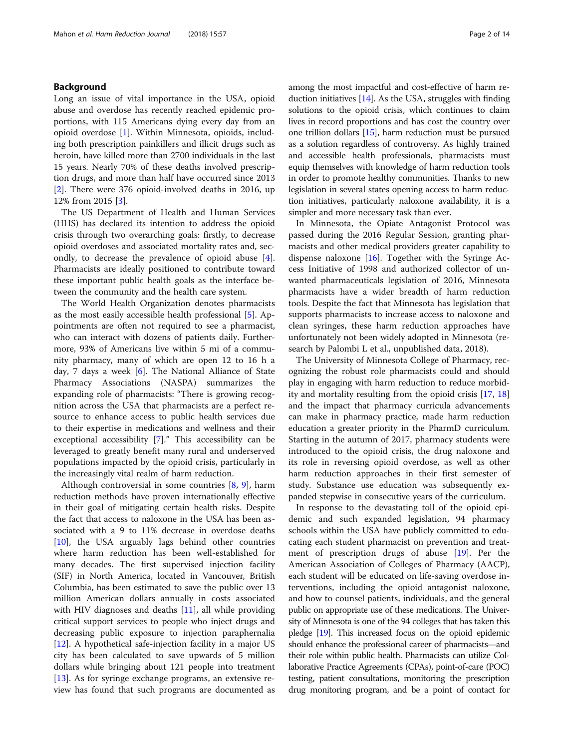## Background

Long an issue of vital importance in the USA, opioid abuse and overdose has recently reached epidemic proportions, with 115 Americans dying every day from an opioid overdose [\[1](#page-12-0)]. Within Minnesota, opioids, including both prescription painkillers and illicit drugs such as heroin, have killed more than 2700 individuals in the last 15 years. Nearly 70% of these deaths involved prescription drugs, and more than half have occurred since 2013 [[2\]](#page-12-0). There were 376 opioid-involved deaths in 2016, up 12% from 2015 [[3\]](#page-12-0).

The US Department of Health and Human Services (HHS) has declared its intention to address the opioid crisis through two overarching goals: firstly, to decrease opioid overdoses and associated mortality rates and, secondly, to decrease the prevalence of opioid abuse [\[4](#page-12-0)]. Pharmacists are ideally positioned to contribute toward these important public health goals as the interface between the community and the health care system.

The World Health Organization denotes pharmacists as the most easily accessible health professional [\[5](#page-13-0)]. Appointments are often not required to see a pharmacist, who can interact with dozens of patients daily. Furthermore, 93% of Americans live within 5 mi of a community pharmacy, many of which are open 12 to 16 h a day, 7 days a week [[6\]](#page-13-0). The National Alliance of State Pharmacy Associations (NASPA) summarizes the expanding role of pharmacists: "There is growing recognition across the USA that pharmacists are a perfect resource to enhance access to public health services due to their expertise in medications and wellness and their exceptional accessibility [\[7](#page-13-0)]." This accessibility can be leveraged to greatly benefit many rural and underserved populations impacted by the opioid crisis, particularly in the increasingly vital realm of harm reduction.

Although controversial in some countries [\[8](#page-13-0), [9](#page-13-0)], harm reduction methods have proven internationally effective in their goal of mitigating certain health risks. Despite the fact that access to naloxone in the USA has been associated with a 9 to 11% decrease in overdose deaths [[10\]](#page-13-0), the USA arguably lags behind other countries where harm reduction has been well-established for many decades. The first supervised injection facility (SIF) in North America, located in Vancouver, British Columbia, has been estimated to save the public over 13 million American dollars annually in costs associated with HIV diagnoses and deaths [\[11](#page-13-0)], all while providing critical support services to people who inject drugs and decreasing public exposure to injection paraphernalia [[12\]](#page-13-0). A hypothetical safe-injection facility in a major US city has been calculated to save upwards of 5 million dollars while bringing about 121 people into treatment [[13\]](#page-13-0). As for syringe exchange programs, an extensive review has found that such programs are documented as among the most impactful and cost-effective of harm reduction initiatives [[14\]](#page-13-0). As the USA, struggles with finding solutions to the opioid crisis, which continues to claim lives in record proportions and has cost the country over one trillion dollars [\[15\]](#page-13-0), harm reduction must be pursued as a solution regardless of controversy. As highly trained and accessible health professionals, pharmacists must equip themselves with knowledge of harm reduction tools in order to promote healthy communities. Thanks to new legislation in several states opening access to harm reduction initiatives, particularly naloxone availability, it is a simpler and more necessary task than ever.

In Minnesota, the Opiate Antagonist Protocol was passed during the 2016 Regular Session, granting pharmacists and other medical providers greater capability to dispense naloxone [[16](#page-13-0)]. Together with the Syringe Access Initiative of 1998 and authorized collector of unwanted pharmaceuticals legislation of 2016, Minnesota pharmacists have a wider breadth of harm reduction tools. Despite the fact that Minnesota has legislation that supports pharmacists to increase access to naloxone and clean syringes, these harm reduction approaches have unfortunately not been widely adopted in Minnesota (research by Palombi L et al., unpublished data, 2018).

The University of Minnesota College of Pharmacy, recognizing the robust role pharmacists could and should play in engaging with harm reduction to reduce morbidity and mortality resulting from the opioid crisis [\[17](#page-13-0), [18](#page-13-0)] and the impact that pharmacy curricula advancements can make in pharmacy practice, made harm reduction education a greater priority in the PharmD curriculum. Starting in the autumn of 2017, pharmacy students were introduced to the opioid crisis, the drug naloxone and its role in reversing opioid overdose, as well as other harm reduction approaches in their first semester of study. Substance use education was subsequently expanded stepwise in consecutive years of the curriculum.

In response to the devastating toll of the opioid epidemic and such expanded legislation, 94 pharmacy schools within the USA have publicly committed to educating each student pharmacist on prevention and treatment of prescription drugs of abuse [[19](#page-13-0)]. Per the American Association of Colleges of Pharmacy (AACP), each student will be educated on life-saving overdose interventions, including the opioid antagonist naloxone, and how to counsel patients, individuals, and the general public on appropriate use of these medications. The University of Minnesota is one of the 94 colleges that has taken this pledge [\[19\]](#page-13-0). This increased focus on the opioid epidemic should enhance the professional career of pharmacists—and their role within public health. Pharmacists can utilize Collaborative Practice Agreements (CPAs), point-of-care (POC) testing, patient consultations, monitoring the prescription drug monitoring program, and be a point of contact for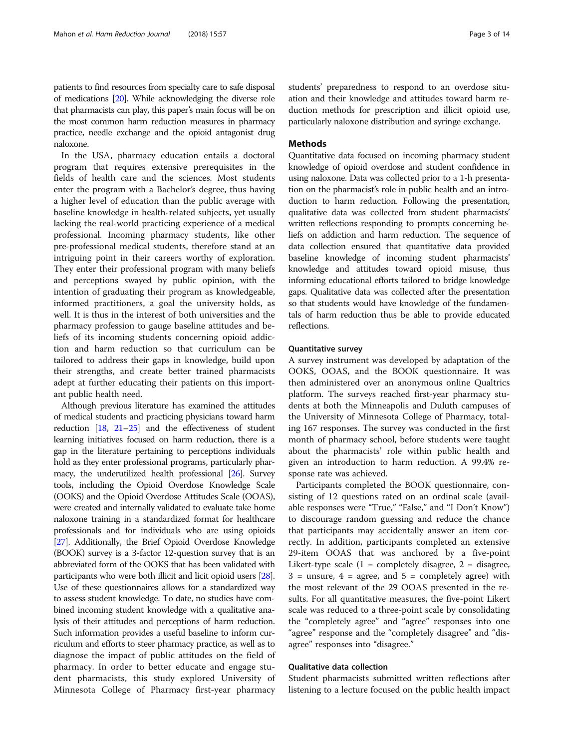In the USA, pharmacy education entails a doctoral program that requires extensive prerequisites in the fields of health care and the sciences. Most students enter the program with a Bachelor's degree, thus having a higher level of education than the public average with baseline knowledge in health-related subjects, yet usually lacking the real-world practicing experience of a medical professional. Incoming pharmacy students, like other pre-professional medical students, therefore stand at an intriguing point in their careers worthy of exploration. They enter their professional program with many beliefs and perceptions swayed by public opinion, with the intention of graduating their program as knowledgeable, informed practitioners, a goal the university holds, as well. It is thus in the interest of both universities and the pharmacy profession to gauge baseline attitudes and beliefs of its incoming students concerning opioid addiction and harm reduction so that curriculum can be tailored to address their gaps in knowledge, build upon their strengths, and create better trained pharmacists adept at further educating their patients on this important public health need.

Although previous literature has examined the attitudes of medical students and practicing physicians toward harm reduction [\[18,](#page-13-0) [21](#page-13-0)–[25](#page-13-0)] and the effectiveness of student learning initiatives focused on harm reduction, there is a gap in the literature pertaining to perceptions individuals hold as they enter professional programs, particularly pharmacy, the underutilized health professional [\[26](#page-13-0)]. Survey tools, including the Opioid Overdose Knowledge Scale (OOKS) and the Opioid Overdose Attitudes Scale (OOAS), were created and internally validated to evaluate take home naloxone training in a standardized format for healthcare professionals and for individuals who are using opioids [[27](#page-13-0)]. Additionally, the Brief Opioid Overdose Knowledge (BOOK) survey is a 3-factor 12-question survey that is an abbreviated form of the OOKS that has been validated with participants who were both illicit and licit opioid users [\[28](#page-13-0)]. Use of these questionnaires allows for a standardized way to assess student knowledge. To date, no studies have combined incoming student knowledge with a qualitative analysis of their attitudes and perceptions of harm reduction. Such information provides a useful baseline to inform curriculum and efforts to steer pharmacy practice, as well as to diagnose the impact of public attitudes on the field of pharmacy. In order to better educate and engage student pharmacists, this study explored University of Minnesota College of Pharmacy first-year pharmacy students' preparedness to respond to an overdose situation and their knowledge and attitudes toward harm reduction methods for prescription and illicit opioid use, particularly naloxone distribution and syringe exchange.

## Methods

Quantitative data focused on incoming pharmacy student knowledge of opioid overdose and student confidence in using naloxone. Data was collected prior to a 1-h presentation on the pharmacist's role in public health and an introduction to harm reduction. Following the presentation, qualitative data was collected from student pharmacists' written reflections responding to prompts concerning beliefs on addiction and harm reduction. The sequence of data collection ensured that quantitative data provided baseline knowledge of incoming student pharmacists' knowledge and attitudes toward opioid misuse, thus informing educational efforts tailored to bridge knowledge gaps. Qualitative data was collected after the presentation so that students would have knowledge of the fundamentals of harm reduction thus be able to provide educated reflections.

#### Quantitative survey

A survey instrument was developed by adaptation of the OOKS, OOAS, and the BOOK questionnaire. It was then administered over an anonymous online Qualtrics platform. The surveys reached first-year pharmacy students at both the Minneapolis and Duluth campuses of the University of Minnesota College of Pharmacy, totaling 167 responses. The survey was conducted in the first month of pharmacy school, before students were taught about the pharmacists' role within public health and given an introduction to harm reduction. A 99.4% response rate was achieved.

Participants completed the BOOK questionnaire, consisting of 12 questions rated on an ordinal scale (available responses were "True," "False," and "I Don't Know") to discourage random guessing and reduce the chance that participants may accidentally answer an item correctly. In addition, participants completed an extensive 29-item OOAS that was anchored by a five-point Likert-type scale  $(1 = \text{completely disagree}, 2 = \text{disagree},$  $3 =$  unsure,  $4 =$  agree, and  $5 =$  completely agree) with the most relevant of the 29 OOAS presented in the results. For all quantitative measures, the five-point Likert scale was reduced to a three-point scale by consolidating the "completely agree" and "agree" responses into one "agree" response and the "completely disagree" and "disagree" responses into "disagree."

## Qualitative data collection

Student pharmacists submitted written reflections after listening to a lecture focused on the public health impact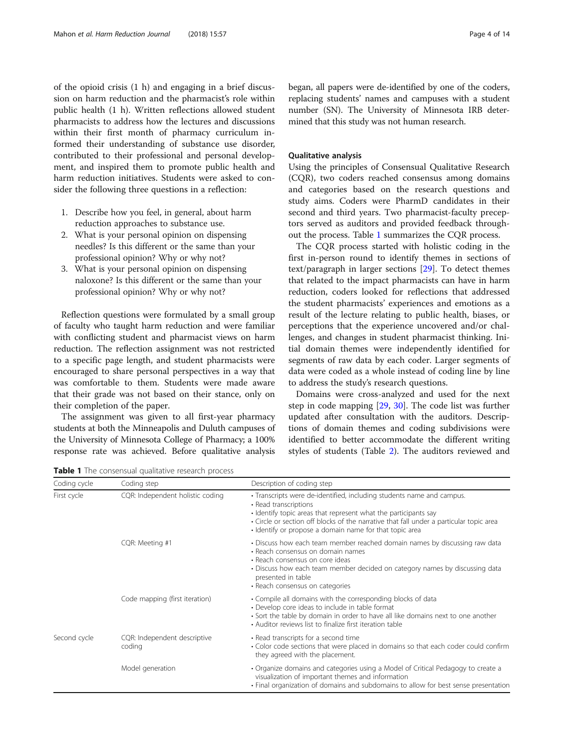<span id="page-3-0"></span>of the opioid crisis (1 h) and engaging in a brief discussion on harm reduction and the pharmacist's role within public health (1 h). Written reflections allowed student pharmacists to address how the lectures and discussions within their first month of pharmacy curriculum informed their understanding of substance use disorder, contributed to their professional and personal development, and inspired them to promote public health and harm reduction initiatives. Students were asked to consider the following three questions in a reflection:

- 1. Describe how you feel, in general, about harm reduction approaches to substance use.
- 2. What is your personal opinion on dispensing needles? Is this different or the same than your professional opinion? Why or why not?
- 3. What is your personal opinion on dispensing naloxone? Is this different or the same than your professional opinion? Why or why not?

Reflection questions were formulated by a small group of faculty who taught harm reduction and were familiar with conflicting student and pharmacist views on harm reduction. The reflection assignment was not restricted to a specific page length, and student pharmacists were encouraged to share personal perspectives in a way that was comfortable to them. Students were made aware that their grade was not based on their stance, only on their completion of the paper.

The assignment was given to all first-year pharmacy students at both the Minneapolis and Duluth campuses of the University of Minnesota College of Pharmacy; a 100% response rate was achieved. Before qualitative analysis began, all papers were de-identified by one of the coders, replacing students' names and campuses with a student number (SN). The University of Minnesota IRB determined that this study was not human research.

## Qualitative analysis

Using the principles of Consensual Qualitative Research (CQR), two coders reached consensus among domains and categories based on the research questions and study aims. Coders were PharmD candidates in their second and third years. Two pharmacist-faculty preceptors served as auditors and provided feedback throughout the process. Table 1 summarizes the CQR process.

The CQR process started with holistic coding in the first in-person round to identify themes in sections of text/paragraph in larger sections [[29\]](#page-13-0). To detect themes that related to the impact pharmacists can have in harm reduction, coders looked for reflections that addressed the student pharmacists' experiences and emotions as a result of the lecture relating to public health, biases, or perceptions that the experience uncovered and/or challenges, and changes in student pharmacist thinking. Initial domain themes were independently identified for segments of raw data by each coder. Larger segments of data were coded as a whole instead of coding line by line to address the study's research questions.

Domains were cross-analyzed and used for the next step in code mapping [[29](#page-13-0), [30\]](#page-13-0). The code list was further updated after consultation with the auditors. Descriptions of domain themes and coding subdivisions were identified to better accommodate the different writing styles of students (Table [2](#page-4-0)). The auditors reviewed and

Table 1 The consensual qualitative research process

|              | <b>Table T</b> The consensual qualitative research process |                                                                                                                                                                                                                                                                                                                         |  |  |  |
|--------------|------------------------------------------------------------|-------------------------------------------------------------------------------------------------------------------------------------------------------------------------------------------------------------------------------------------------------------------------------------------------------------------------|--|--|--|
| Coding cycle | Coding step                                                | Description of coding step                                                                                                                                                                                                                                                                                              |  |  |  |
| First cycle  | CQR: Independent holistic coding                           | • Transcripts were de-identified, including students name and campus.<br>• Read transcriptions<br>• Identify topic areas that represent what the participants say<br>• Circle or section off blocks of the narrative that fall under a particular topic area<br>• Identify or propose a domain name for that topic area |  |  |  |
|              | CQR: Meeting #1                                            | • Discuss how each team member reached domain names by discussing raw data<br>• Reach consensus on domain names<br>• Reach consensus on core ideas<br>• Discuss how each team member decided on category names by discussing data<br>presented in table<br>• Reach consensus on categories                              |  |  |  |
|              | Code mapping (first iteration)                             | • Compile all domains with the corresponding blocks of data<br>• Develop core ideas to include in table format<br>• Sort the table by domain in order to have all like domains next to one another<br>• Auditor reviews list to finalize first iteration table                                                          |  |  |  |
| Second cycle | CQR: Independent descriptive<br>coding                     | • Read transcripts for a second time<br>• Color code sections that were placed in domains so that each coder could confirm<br>they agreed with the placement.                                                                                                                                                           |  |  |  |
|              | Model generation                                           | • Organize domains and categories using a Model of Critical Pedagogy to create a<br>visualization of important themes and information<br>• Final organization of domains and subdomains to allow for best sense presentation                                                                                            |  |  |  |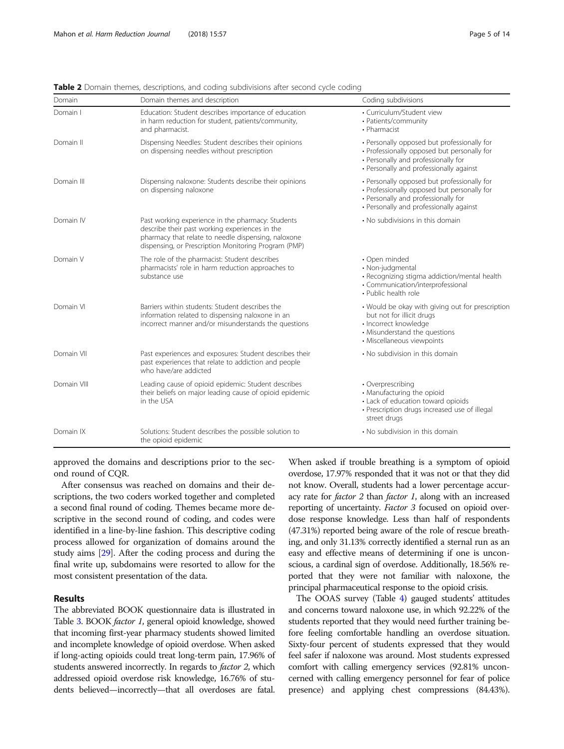|  | Page 5 of 14 |  |  |  |  |
|--|--------------|--|--|--|--|
|--|--------------|--|--|--|--|

| Domain      | Domain themes and description                                                                                                                                                                                      | Coding subdivisions                                                                                                                                                          |  |  |
|-------------|--------------------------------------------------------------------------------------------------------------------------------------------------------------------------------------------------------------------|------------------------------------------------------------------------------------------------------------------------------------------------------------------------------|--|--|
| Domain I    | Education: Student describes importance of education<br>in harm reduction for student, patients/community,<br>and pharmacist.                                                                                      | • Curriculum/Student view<br>• Patients/community<br>• Pharmacist                                                                                                            |  |  |
| Domain II   | Dispensing Needles: Student describes their opinions<br>on dispensing needles without prescription                                                                                                                 | • Personally opposed but professionally for<br>· Professionally opposed but personally for<br>• Personally and professionally for<br>• Personally and professionally against |  |  |
| Domain III  | Dispensing naloxone: Students describe their opinions<br>on dispensing naloxone                                                                                                                                    | • Personally opposed but professionally for<br>• Professionally opposed but personally for<br>• Personally and professionally for<br>• Personally and professionally against |  |  |
| Domain IV   | Past working experience in the pharmacy: Students<br>describe their past working experiences in the<br>pharmacy that relate to needle dispensing, naloxone<br>dispensing, or Prescription Monitoring Program (PMP) | • No subdivisions in this domain                                                                                                                                             |  |  |
| Domain V    | The role of the pharmacist: Student describes<br>pharmacists' role in harm reduction approaches to<br>substance use                                                                                                | • Open minded<br>• Non-judgmental<br>· Recognizing stigma addiction/mental health<br>· Communication/interprofessional<br>• Public health role                               |  |  |
| Domain VI   | Barriers within students: Student describes the<br>information related to dispensing naloxone in an<br>incorrect manner and/or misunderstands the questions                                                        | • Would be okay with giving out for prescription<br>but not for illicit drugs<br>· Incorrect knowledge<br>• Misunderstand the questions<br>· Miscellaneous viewpoints        |  |  |
| Domain VII  | Past experiences and exposures: Student describes their<br>past experiences that relate to addiction and people<br>who have/are addicted                                                                           | • No subdivision in this domain                                                                                                                                              |  |  |
| Domain VIII | Leading cause of opioid epidemic: Student describes<br>their beliefs on major leading cause of opioid epidemic<br>in the USA                                                                                       | · Overprescribing<br>• Manufacturing the opioid<br>• Lack of education toward opioids<br>· Prescription drugs increased use of illegal<br>street drugs                       |  |  |
| Domain IX   | Solutions: Student describes the possible solution to<br>the opioid epidemic                                                                                                                                       | • No subdivision in this domain                                                                                                                                              |  |  |

<span id="page-4-0"></span>Table 2 Domain themes, descriptions, and coding subdivisions after second cycle coding

approved the domains and descriptions prior to the second round of CQR.

After consensus was reached on domains and their descriptions, the two coders worked together and completed a second final round of coding. Themes became more descriptive in the second round of coding, and codes were identified in a line-by-line fashion. This descriptive coding process allowed for organization of domains around the study aims [\[29\]](#page-13-0). After the coding process and during the final write up, subdomains were resorted to allow for the most consistent presentation of the data.

## Results

The abbreviated BOOK questionnaire data is illustrated in Table [3.](#page-5-0) BOOK factor 1, general opioid knowledge, showed that incoming first-year pharmacy students showed limited and incomplete knowledge of opioid overdose. When asked if long-acting opioids could treat long-term pain, 17.96% of students answered incorrectly. In regards to factor 2, which addressed opioid overdose risk knowledge, 16.76% of students believed—incorrectly—that all overdoses are fatal.

When asked if trouble breathing is a symptom of opioid overdose, 17.97% responded that it was not or that they did not know. Overall, students had a lower percentage accuracy rate for *factor 2* than *factor 1*, along with an increased reporting of uncertainty. Factor 3 focused on opioid overdose response knowledge. Less than half of respondents (47.31%) reported being aware of the role of rescue breathing, and only 31.13% correctly identified a sternal run as an easy and effective means of determining if one is unconscious, a cardinal sign of overdose. Additionally, 18.56% reported that they were not familiar with naloxone, the principal pharmaceutical response to the opioid crisis.

The OOAS survey (Table [4\)](#page-6-0) gauged students' attitudes and concerns toward naloxone use, in which 92.22% of the students reported that they would need further training before feeling comfortable handling an overdose situation. Sixty-four percent of students expressed that they would feel safer if naloxone was around. Most students expressed comfort with calling emergency services (92.81% unconcerned with calling emergency personnel for fear of police presence) and applying chest compressions (84.43%).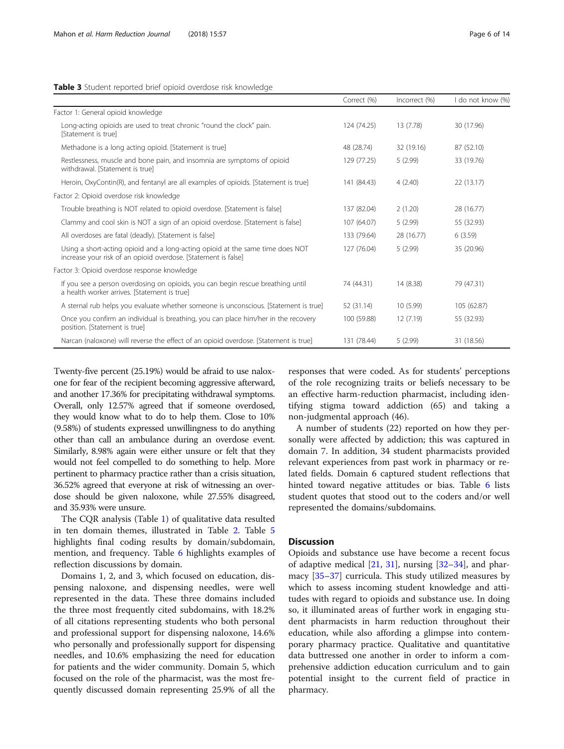## <span id="page-5-0"></span>Table 3 Student reported brief opioid overdose risk knowledge

|                                                                                                                                                  | Correct (%) | Incorrect (%) | I do not know (%) |
|--------------------------------------------------------------------------------------------------------------------------------------------------|-------------|---------------|-------------------|
| Factor 1: General opioid knowledge                                                                                                               |             |               |                   |
| Long-acting opioids are used to treat chronic "round the clock" pain.<br>[Statement is true]                                                     | 124 (74.25) | 13 (7.78)     | 30 (17.96)        |
| Methadone is a long acting opioid. [Statement is true]                                                                                           | 48 (28.74)  | 32 (19.16)    | 87 (52.10)        |
| Restlessness, muscle and bone pain, and insomnia are symptoms of opioid<br>withdrawal. [Statement is true]                                       | 129 (77.25) | 5(2.99)       | 33 (19.76)        |
| Heroin, OxyContin(R), and fentanyl are all examples of opioids. [Statement is true]                                                              | 141 (84.43) | 4(2.40)       | 22 (13.17)        |
| Factor 2: Opioid overdose risk knowledge                                                                                                         |             |               |                   |
| Trouble breathing is NOT related to opioid overdose. [Statement is false]                                                                        | 137 (82.04) | 2(1.20)       | 28 (16.77)        |
| Clammy and cool skin is NOT a sign of an opioid overdose. [Statement is false]                                                                   | 107 (64.07) | 5(2.99)       | 55 (32.93)        |
| All overdoses are fatal (deadly). [Statement is false]                                                                                           | 133 (79.64) | 28 (16.77)    | 6(3.59)           |
| Using a short-acting opioid and a long-acting opioid at the same time does NOT<br>increase your risk of an opioid overdose. [Statement is false] | 127 (76.04) | 5(2.99)       | 35 (20.96)        |
| Factor 3: Opioid overdose response knowledge                                                                                                     |             |               |                   |
| If you see a person overdosing on opioids, you can begin rescue breathing until<br>a health worker arrives. [Statement is true]                  | 74 (44.31)  | 14 (8.38)     | 79 (47.31)        |
| A sternal rub helps you evaluate whether someone is unconscious. [Statement is true]                                                             | 52 (31.14)  | 10 (5.99)     | 105 (62.87)       |
| Once you confirm an individual is breathing, you can place him/her in the recovery<br>position. [Statement is true]                              | 100 (59.88) | 12 (7.19)     | 55 (32.93)        |
| Narcan (naloxone) will reverse the effect of an opioid overdose. [Statement is true]                                                             | 131 (78.44) | 5(2.99)       | 31 (18.56)        |

Twenty-five percent (25.19%) would be afraid to use naloxone for fear of the recipient becoming aggressive afterward, and another 17.36% for precipitating withdrawal symptoms. Overall, only 12.57% agreed that if someone overdosed, they would know what to do to help them. Close to 10% (9.58%) of students expressed unwillingness to do anything other than call an ambulance during an overdose event. Similarly, 8.98% again were either unsure or felt that they would not feel compelled to do something to help. More pertinent to pharmacy practice rather than a crisis situation, 36.52% agreed that everyone at risk of witnessing an overdose should be given naloxone, while 27.55% disagreed, and 35.93% were unsure.

The CQR analysis (Table [1](#page-3-0)) of qualitative data resulted in ten domain themes, illustrated in Table [2](#page-4-0). Table [5](#page-7-0) highlights final coding results by domain/subdomain, mention, and frequency. Table [6](#page-8-0) highlights examples of reflection discussions by domain.

Domains 1, 2, and 3, which focused on education, dispensing naloxone, and dispensing needles, were well represented in the data. These three domains included the three most frequently cited subdomains, with 18.2% of all citations representing students who both personal and professional support for dispensing naloxone, 14.6% who personally and professionally support for dispensing needles, and 10.6% emphasizing the need for education for patients and the wider community. Domain 5, which focused on the role of the pharmacist, was the most frequently discussed domain representing 25.9% of all the

responses that were coded. As for students' perceptions of the role recognizing traits or beliefs necessary to be an effective harm-reduction pharmacist, including identifying stigma toward addiction (65) and taking a non-judgmental approach (46).

A number of students (22) reported on how they personally were affected by addiction; this was captured in domain 7. In addition, 34 student pharmacists provided relevant experiences from past work in pharmacy or related fields. Domain 6 captured student reflections that hinted toward negative attitudes or bias. Table [6](#page-8-0) lists student quotes that stood out to the coders and/or well represented the domains/subdomains.

## **Discussion**

Opioids and substance use have become a recent focus of adaptive medical  $[21, 31]$  $[21, 31]$  $[21, 31]$  $[21, 31]$  $[21, 31]$ , nursing  $[32-34]$  $[32-34]$  $[32-34]$  $[32-34]$  $[32-34]$ , and pharmacy [[35](#page-13-0)–[37](#page-13-0)] curricula. This study utilized measures by which to assess incoming student knowledge and attitudes with regard to opioids and substance use. In doing so, it illuminated areas of further work in engaging student pharmacists in harm reduction throughout their education, while also affording a glimpse into contemporary pharmacy practice. Qualitative and quantitative data buttressed one another in order to inform a comprehensive addiction education curriculum and to gain potential insight to the current field of practice in pharmacy.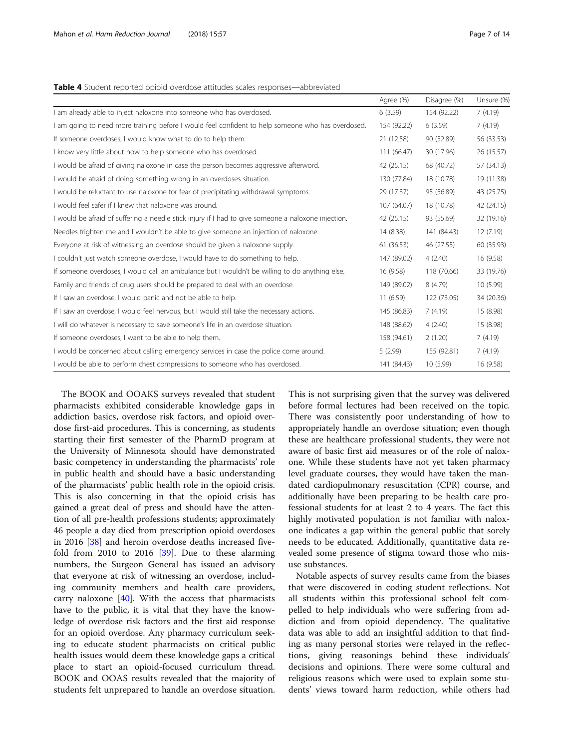## <span id="page-6-0"></span>Table 4 Student reported opioid overdose attitudes scales responses—abbreviated

|                                                                                                     | Agree (%)   | Disagree (%) | Unsure (%) |
|-----------------------------------------------------------------------------------------------------|-------------|--------------|------------|
| I am already able to inject naloxone into someone who has overdosed.                                | 6(3.59)     | 154 (92.22)  | 7(4.19)    |
| I am going to need more training before I would feel confident to help someone who has overdosed.   | 154 (92.22) | 6(3.59)      | 7(4.19)    |
| If someone overdoses, I would know what to do to help them.                                         | 21 (12.58)  | 90 (52.89)   | 56 (33.53) |
| I know very little about how to help someone who has overdosed.                                     | 111(66.47)  | 30 (17.96)   | 26 (15.57) |
| I would be afraid of giving naloxone in case the person becomes aggressive afterword.               | 42 (25.15)  | 68 (40.72)   | 57 (34.13) |
| I would be afraid of doing something wrong in an overdoses situation.                               | 130 (77.84) | 18 (10.78)   | 19 (11.38) |
| I would be reluctant to use naloxone for fear of precipitating withdrawal symptoms.                 | 29 (17.37)  | 95 (56.89)   | 43 (25.75) |
| I would feel safer if I knew that naloxone was around.                                              | 107 (64.07) | 18 (10.78)   | 42 (24.15) |
| I would be afraid of suffering a needle stick injury if I had to give someone a naloxone injection. | 42 (25.15)  | 93 (55.69)   | 32 (19.16) |
| Needles frighten me and I wouldn't be able to give someone an injection of naloxone.                | 14 (8.38)   | 141 (84.43)  | 12(7.19)   |
| Everyone at risk of witnessing an overdose should be given a naloxone supply.                       | 61(36.53)   | 46 (27.55)   | 60 (35.93) |
| I couldn't just watch someone overdose, I would have to do something to help.                       | 147 (89.02) | 4(2.40)      | 16 (9.58)  |
| If someone overdoses, I would call an ambulance but I wouldn't be willing to do anything else.      | 16 (9.58)   | 118 (70.66)  | 33 (19.76) |
| Family and friends of drug users should be prepared to deal with an overdose.                       | 149 (89.02) | 8 (4.79)     | 10 (5.99)  |
| If I saw an overdose, I would panic and not be able to help.                                        | 11(6.59)    | 122 (73.05)  | 34 (20.36) |
| If I saw an overdose, I would feel nervous, but I would still take the necessary actions.           | 145 (86.83) | 7(4.19)      | 15 (8.98)  |
| I will do whatever is necessary to save someone's life in an overdose situation.                    | 148 (88.62) | 4(2.40)      | 15 (8.98)  |
| If someone overdoses, I want to be able to help them.                                               | 158 (94.61) | 2(1.20)      | 7(4.19)    |
| I would be concerned about calling emergency services in case the police come around.               | 5(2.99)     | 155 (92.81)  | 7(4.19)    |
| I would be able to perform chest compressions to someone who has overdosed.                         | 141 (84.43) | 10 (5.99)    | 16 (9.58)  |

The BOOK and OOAKS surveys revealed that student pharmacists exhibited considerable knowledge gaps in addiction basics, overdose risk factors, and opioid overdose first-aid procedures. This is concerning, as students starting their first semester of the PharmD program at the University of Minnesota should have demonstrated basic competency in understanding the pharmacists' role in public health and should have a basic understanding of the pharmacists' public health role in the opioid crisis. This is also concerning in that the opioid crisis has gained a great deal of press and should have the attention of all pre-health professions students; approximately 46 people a day died from prescription opioid overdoses in 2016 [[38\]](#page-13-0) and heroin overdose deaths increased fivefold from 2010 to 2016  $[39]$  $[39]$ . Due to these alarming numbers, the Surgeon General has issued an advisory that everyone at risk of witnessing an overdose, including community members and health care providers, carry naloxone [\[40](#page-13-0)]. With the access that pharmacists have to the public, it is vital that they have the knowledge of overdose risk factors and the first aid response for an opioid overdose. Any pharmacy curriculum seeking to educate student pharmacists on critical public health issues would deem these knowledge gaps a critical place to start an opioid-focused curriculum thread. BOOK and OOAS results revealed that the majority of students felt unprepared to handle an overdose situation.

This is not surprising given that the survey was delivered before formal lectures had been received on the topic. There was consistently poor understanding of how to appropriately handle an overdose situation; even though these are healthcare professional students, they were not aware of basic first aid measures or of the role of naloxone. While these students have not yet taken pharmacy level graduate courses, they would have taken the mandated cardiopulmonary resuscitation (CPR) course, and additionally have been preparing to be health care professional students for at least 2 to 4 years. The fact this highly motivated population is not familiar with naloxone indicates a gap within the general public that sorely needs to be educated. Additionally, quantitative data revealed some presence of stigma toward those who misuse substances.

Notable aspects of survey results came from the biases that were discovered in coding student reflections. Not all students within this professional school felt compelled to help individuals who were suffering from addiction and from opioid dependency. The qualitative data was able to add an insightful addition to that finding as many personal stories were relayed in the reflections, giving reasonings behind these individuals' decisions and opinions. There were some cultural and religious reasons which were used to explain some students' views toward harm reduction, while others had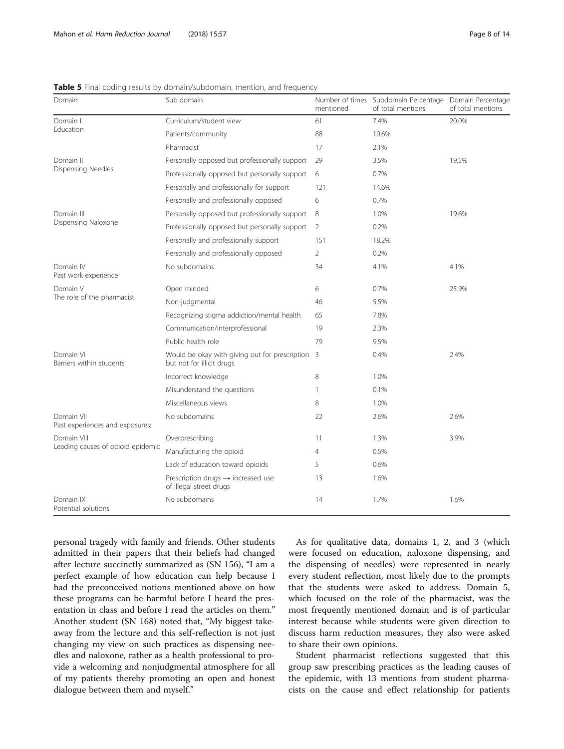<span id="page-7-0"></span>

|  |  | Table 5 Final coding results by domain/subdomain, mention, and frequency |  |  |
|--|--|--------------------------------------------------------------------------|--|--|
|--|--|--------------------------------------------------------------------------|--|--|

| Domain                                        | Sub domain                                                                    | mentioned | Number of times Subdomain Percentage Domain Percentage<br>of total mentions | of total mentions |
|-----------------------------------------------|-------------------------------------------------------------------------------|-----------|-----------------------------------------------------------------------------|-------------------|
| Domain I                                      | Curriculum/student view                                                       | 61        | 7.4%                                                                        | 20.0%             |
| Education                                     | Patients/community                                                            | 88        | 10.6%                                                                       |                   |
|                                               | Pharmacist                                                                    | 17        | 2.1%                                                                        |                   |
| Domain II                                     | Personally opposed but professionally support                                 | 29        | 3.5%                                                                        | 19.5%             |
| Dispensing Needles                            | Professionally opposed but personally support                                 | 6         | 0.7%                                                                        |                   |
|                                               | Personally and professionally for support                                     | 121       | 14.6%                                                                       |                   |
|                                               | Personally and professionally opposed                                         | 6         | 0.7%                                                                        |                   |
| Domain III                                    | Personally opposed but professionally support                                 | 8         | 1.0%                                                                        | 19.6%             |
| Dispensing Naloxone                           | Professionally opposed but personally support                                 | 2         | 0.2%                                                                        |                   |
|                                               | Personally and professionally support                                         | 151       | 18.2%                                                                       |                   |
|                                               | Personally and professionally opposed                                         | 2         | 0.2%                                                                        |                   |
| Domain IV<br>Past work experience             | No subdomains                                                                 | 34        | 4.1%                                                                        | 4.1%              |
| Domain V                                      | Open minded                                                                   | 6         | 0.7%                                                                        | 25.9%             |
| The role of the pharmacist                    | Non-judgmental                                                                | 46        | 5.5%                                                                        |                   |
|                                               | Recognizing stigma addiction/mental health                                    | 65        | 7.8%                                                                        |                   |
|                                               | Communication/interprofessional                                               | 19        | 2.3%                                                                        |                   |
|                                               | Public health role                                                            | 79        | 9.5%                                                                        |                   |
| Domain VI<br>Barriers within students         | Would be okay with giving out for prescription 3<br>but not for illicit drugs |           | 0.4%                                                                        | 2.4%              |
|                                               | Incorrect knowledge                                                           | 8         | 1.0%                                                                        |                   |
|                                               | Misunderstand the questions                                                   | 1         | 0.1%                                                                        |                   |
|                                               | Miscellaneous views                                                           | 8         | 1.0%                                                                        |                   |
| Domain VII<br>Past experiences and exposures: | No subdomains                                                                 | 22        | 2.6%                                                                        | 2.6%              |
| Domain VIII                                   | Overprescribing                                                               | 11        | 1.3%                                                                        | 3.9%              |
| Leading causes of opioid epidemic             | Manufacturing the opioid                                                      | 4         | 0.5%                                                                        |                   |
|                                               | Lack of education toward opioids                                              | 5         | 0.6%                                                                        |                   |
|                                               | Prescription drugs $\rightarrow$ increased use<br>of illegal street drugs     | 13        | 1.6%                                                                        |                   |
| Domain IX<br>Potential solutions              | No subdomains                                                                 | 14        | 1.7%                                                                        | 1.6%              |

personal tragedy with family and friends. Other students admitted in their papers that their beliefs had changed after lecture succinctly summarized as (SN 156), "I am a perfect example of how education can help because I had the preconceived notions mentioned above on how these programs can be harmful before I heard the presentation in class and before I read the articles on them." Another student (SN 168) noted that, "My biggest takeaway from the lecture and this self-reflection is not just changing my view on such practices as dispensing needles and naloxone, rather as a health professional to provide a welcoming and nonjudgmental atmosphere for all of my patients thereby promoting an open and honest dialogue between them and myself."

As for qualitative data, domains 1, 2, and 3 (which were focused on education, naloxone dispensing, and the dispensing of needles) were represented in nearly every student reflection, most likely due to the prompts that the students were asked to address. Domain 5, which focused on the role of the pharmacist, was the most frequently mentioned domain and is of particular interest because while students were given direction to discuss harm reduction measures, they also were asked to share their own opinions.

Student pharmacist reflections suggested that this group saw prescribing practices as the leading causes of the epidemic, with 13 mentions from student pharmacists on the cause and effect relationship for patients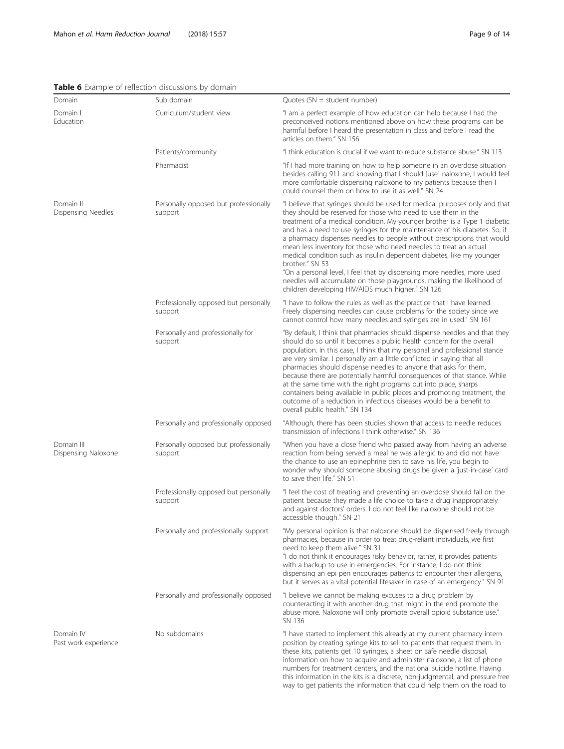## <span id="page-8-0"></span>Table 6 Example of reflection discussions by domain

| Domain                            | Sub domain                                       | Quotes (SN = student number)                                                                                                                                                                                                                                                                                                                                                                                                                                                                                                                                                                                                                                                                                          |
|-----------------------------------|--------------------------------------------------|-----------------------------------------------------------------------------------------------------------------------------------------------------------------------------------------------------------------------------------------------------------------------------------------------------------------------------------------------------------------------------------------------------------------------------------------------------------------------------------------------------------------------------------------------------------------------------------------------------------------------------------------------------------------------------------------------------------------------|
| Domain I<br>Education             | Curriculum/student view                          | "I am a perfect example of how education can help because I had the<br>preconceived notions mentioned above on how these programs can be<br>harmful before I heard the presentation in class and before I read the<br>articles on them." SN 156                                                                                                                                                                                                                                                                                                                                                                                                                                                                       |
|                                   | Patients/community                               | "I think education is crucial if we want to reduce substance abuse." SN 113                                                                                                                                                                                                                                                                                                                                                                                                                                                                                                                                                                                                                                           |
|                                   | Pharmacist                                       | "If I had more training on how to help someone in an overdose situation<br>besides calling 911 and knowing that I should [use] naloxone, I would feel<br>more comfortable dispensing naloxone to my patients because then I<br>could counsel them on how to use it as well." SN 24                                                                                                                                                                                                                                                                                                                                                                                                                                    |
| Domain II<br>Dispensing Needles   | Personally opposed but professionally<br>support | "I believe that syringes should be used for medical purposes only and that<br>they should be reserved for those who need to use them in the<br>treatment of a medical condition. My younger brother is a Type 1 diabetic<br>and has a need to use syringes for the maintenance of his diabetes. So, if<br>a pharmacy dispenses needles to people without prescriptions that would<br>mean less inventory for those who need needles to treat an actual<br>medical condition such as insulin dependent diabetes, like my younger<br>brother." SN 53<br>"On a personal level, I feel that by dispensing more needles, more used<br>needles will accumulate on those playgrounds, making the likelihood of               |
|                                   |                                                  | children developing HIV/AIDS much higher." SN 126                                                                                                                                                                                                                                                                                                                                                                                                                                                                                                                                                                                                                                                                     |
|                                   | Professionally opposed but personally<br>support | "I have to follow the rules as well as the practice that I have learned.<br>Freely dispensing needles can cause problems for the society since we<br>cannot control how many needles and syringes are in used." SN 161                                                                                                                                                                                                                                                                                                                                                                                                                                                                                                |
|                                   | Personally and professionally for<br>support     | "By default, I think that pharmacies should dispense needles and that they<br>should do so until it becomes a public health concern for the overall<br>population. In this case, I think that my personal and professional stance<br>are very similar. I personally am a little conflicted in saying that all<br>pharmacies should dispense needles to anyone that asks for them,<br>because there are potentially harmful consequences of that stance. While<br>at the same time with the right programs put into place, sharps<br>containers being available in public places and promoting treatment, the<br>outcome of a reduction in infectious diseases would be a benefit to<br>overall public health." SN 134 |
|                                   | Personally and professionally opposed            | "Although, there has been studies shown that access to needle reduces<br>transmission of infections I think otherwise." SN 136                                                                                                                                                                                                                                                                                                                                                                                                                                                                                                                                                                                        |
| Domain III<br>Dispensing Naloxone | Personally opposed but professionally<br>support | "When you have a close friend who passed away from having an adverse<br>reaction from being served a meal he was allergic to and did not have<br>the chance to use an epinephrine pen to save his life, you begin to<br>wonder why should someone abusing drugs be given a 'just-in-case' card<br>to save their life." SN 51                                                                                                                                                                                                                                                                                                                                                                                          |
|                                   | Professionally opposed but personally<br>support | "I feel the cost of treating and preventing an overdose should fall on the<br>patient because they made a life choice to take a drug inappropriately<br>and against doctors' orders. I do not feel like naloxone should not be<br>accessible though." SN 21                                                                                                                                                                                                                                                                                                                                                                                                                                                           |
|                                   | Personally and professionally support            | "My personal opinion is that naloxone should be dispensed freely through<br>pharmacies, because in order to treat drug-reliant individuals, we first<br>need to keep them alive." SN 31<br>"I do not think it encourages risky behavior, rather, it provides patients<br>with a backup to use in emergencies. For instance, I do not think<br>dispensing an epi pen encourages patients to encounter their allergens,<br>but it serves as a vital potential lifesaver in case of an emergency." SN 91                                                                                                                                                                                                                 |
|                                   | Personally and professionally opposed            | "I believe we cannot be making excuses to a drug problem by<br>counteracting it with another drug that might in the end promote the<br>abuse more. Naloxone will only promote overall opioid substance use."<br>SN 136                                                                                                                                                                                                                                                                                                                                                                                                                                                                                                |
| Domain IV<br>Past work experience | No subdomains                                    | "I have started to implement this already at my current pharmacy intern<br>position by creating syringe kits to sell to patients that request them. In<br>these kits, patients get 10 syringes, a sheet on safe needle disposal,<br>information on how to acquire and administer naloxone, a list of phone<br>numbers for treatment centers, and the national suicide hotline. Having<br>this information in the kits is a discrete, non-judgmental, and pressure free<br>way to get patients the information that could help them on the road to                                                                                                                                                                     |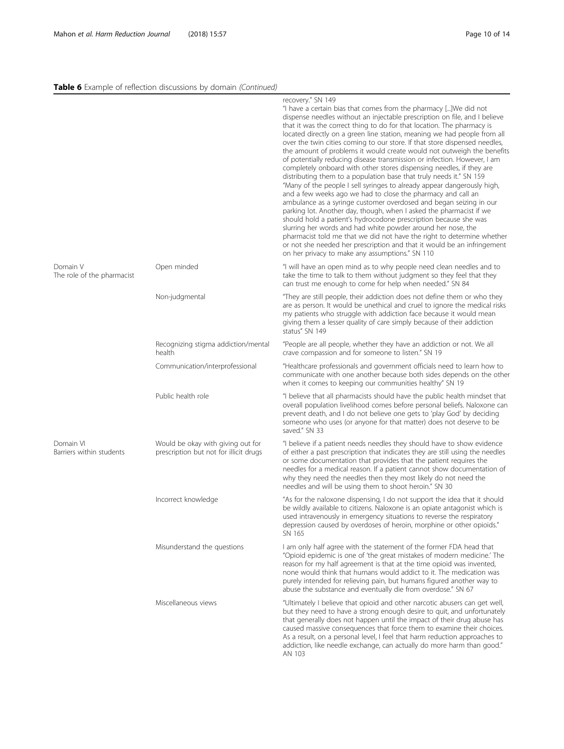Domain V

Domain VI

Barriers within students

The role of the pharmacist

## Table 6 Example of reflection discussions by domain (Continued)

Recognizing stigma addiction/mental

Would be okay with giving out for prescription but not for illicit drugs

health

recovery." SN 149 "I have a certain bias that comes from the pharmacy [...]We did not dispense needles without an injectable prescription on file, and I believe that it was the correct thing to do for that location. The pharmacy is located directly on a green line station, meaning we had people from all over the twin cities coming to our store. If that store dispensed needles, the amount of problems it would create would not outweigh the benefits of potentially reducing disease transmission or infection. However, I am completely onboard with other stores dispensing needles, if they are distributing them to a population base that truly needs it." SN 159 "Many of the people I sell syringes to already appear dangerously high, and a few weeks ago we had to close the pharmacy and call an ambulance as a syringe customer overdosed and began seizing in our parking lot. Another day, though, when I asked the pharmacist if we should hold a patient's hydrocodone prescription because she was slurring her words and had white powder around her nose, the pharmacist told me that we did not have the right to determine whether or not she needed her prescription and that it would be an infringement on her privacy to make any assumptions." SN 110

#### Open minded "I will have an open mind as to why people need clean needles and to take the time to talk to them without judgment so they feel that they can trust me enough to come for help when needed." SN 84

Non-judgmental "They are still people, their addiction does not define them or who they are as person. It would be unethical and cruel to ignore the medical risks my patients who struggle with addiction face because it would mean giving them a lesser quality of care simply because of their addiction status" SN 149

> "People are all people, whether they have an addiction or not. We all crave compassion and for someone to listen." SN 19

Communication/interprofessional "Healthcare professionals and government officials need to learn how to communicate with one another because both sides depends on the other when it comes to keeping our communities healthy" SN 19

Public health role "I believe that all pharmacists should have the public health mindset that overall population livelihood comes before personal beliefs. Naloxone can prevent death, and I do not believe one gets to 'play God' by deciding someone who uses (or anyone for that matter) does not deserve to be saved." SN 33

> "I believe if a patient needs needles they should have to show evidence of either a past prescription that indicates they are still using the needles or some documentation that provides that the patient requires the needles for a medical reason. If a patient cannot show documentation of why they need the needles then they most likely do not need the needles and will be using them to shoot heroin." SN 30

Incorrect knowledge "As for the naloxone dispensing, I do not support the idea that it should be wildly available to citizens. Naloxone is an opiate antagonist which is used intravenously in emergency situations to reverse the respiratory depression caused by overdoses of heroin, morphine or other opioids." SN 165

Misunderstand the questions I am only half agree with the statement of the former FDA head that "Opioid epidemic is one of 'the great mistakes of modern medicine.' The reason for my half agreement is that at the time opioid was invented, none would think that humans would addict to it. The medication was purely intended for relieving pain, but humans figured another way to abuse the substance and eventually die from overdose." SN 67

Miscellaneous views "Ultimately I believe that opioid and other narcotic abusers can get well, but they need to have a strong enough desire to quit, and unfortunately that generally does not happen until the impact of their drug abuse has caused massive consequences that force them to examine their choices. As a result, on a personal level, I feel that harm reduction approaches to addiction, like needle exchange, can actually do more harm than good." AN 103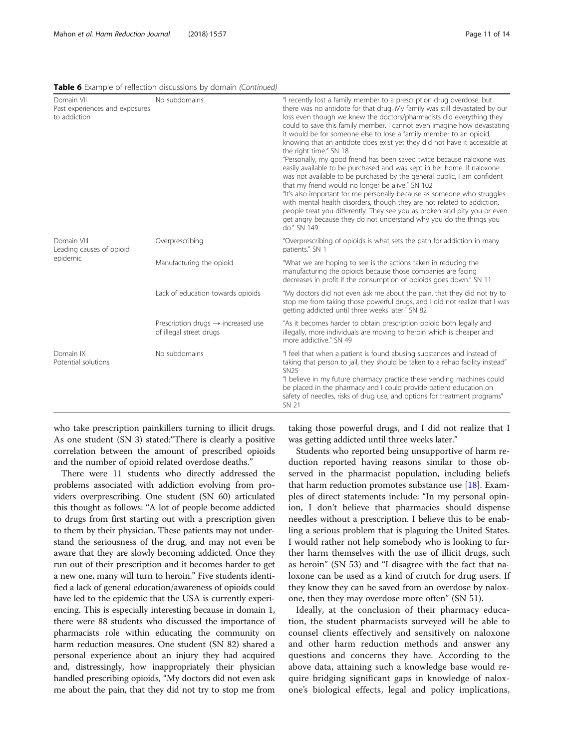|  |  |  | Table 6 Example of reflection discussions by domain (Continued) |
|--|--|--|-----------------------------------------------------------------|
|  |  |  |                                                                 |

| Domain VII<br>Past experiences and exposures<br>to addiction | No subdomains                                                             | "I recently lost a family member to a prescription drug overdose, but<br>there was no antidote for that drug. My family was still devastated by our<br>loss even though we knew the doctors/pharmacists did everything they<br>could to save this family member. I cannot even imagine how devastating<br>it would be for someone else to lose a family member to an opioid,<br>knowing that an antidote does exist yet they did not have it accessible at<br>the right time." SN 18<br>"Personally, my good friend has been saved twice because naloxone was<br>easily available to be purchased and was kept in her home. If naloxone<br>was not available to be purchased by the general public, I am confident<br>that my friend would no longer be alive." SN 102<br>"It's also important for me personally because as someone who struggles<br>with mental health disorders, though they are not related to addiction,<br>people treat you differently. They see you as broken and pity you or even<br>get angry because they do not understand why you do the things you<br>do." SN 149 |
|--------------------------------------------------------------|---------------------------------------------------------------------------|------------------------------------------------------------------------------------------------------------------------------------------------------------------------------------------------------------------------------------------------------------------------------------------------------------------------------------------------------------------------------------------------------------------------------------------------------------------------------------------------------------------------------------------------------------------------------------------------------------------------------------------------------------------------------------------------------------------------------------------------------------------------------------------------------------------------------------------------------------------------------------------------------------------------------------------------------------------------------------------------------------------------------------------------------------------------------------------------|
| Domain VIII<br>Leading causes of opioid                      | Overprescribing                                                           | "Overprescribing of opioids is what sets the path for addiction in many<br>patients." SN 1                                                                                                                                                                                                                                                                                                                                                                                                                                                                                                                                                                                                                                                                                                                                                                                                                                                                                                                                                                                                     |
| epidemic                                                     | Manufacturing the opioid                                                  | "What we are hoping to see is the actions taken in reducing the<br>manufacturing the opioids because those companies are facing<br>decreases in profit if the consumption of opioids goes down." SN 11                                                                                                                                                                                                                                                                                                                                                                                                                                                                                                                                                                                                                                                                                                                                                                                                                                                                                         |
|                                                              | Lack of education towards opioids                                         | "My doctors did not even ask me about the pain, that they did not try to<br>stop me from taking those powerful drugs, and I did not realize that I was<br>getting addicted until three weeks later." SN 82                                                                                                                                                                                                                                                                                                                                                                                                                                                                                                                                                                                                                                                                                                                                                                                                                                                                                     |
|                                                              | Prescription drugs $\rightarrow$ increased use<br>of illegal street drugs | "As it becomes harder to obtain prescription opioid both legally and<br>illegally, more individuals are moving to heroin which is cheaper and<br>more addictive." SN 49                                                                                                                                                                                                                                                                                                                                                                                                                                                                                                                                                                                                                                                                                                                                                                                                                                                                                                                        |
| Domain IX<br>Potential solutions                             | No subdomains                                                             | "I feel that when a patient is found abusing substances and instead of<br>taking that person to jail, they should be taken to a rehab facility instead"<br><b>SN25</b><br>"I believe in my future pharmacy practice these vending machines could<br>be placed in the pharmacy and I could provide patient education on<br>safety of needles, risks of drug use, and options for treatment programs"<br>SN 21                                                                                                                                                                                                                                                                                                                                                                                                                                                                                                                                                                                                                                                                                   |

who take prescription painkillers turning to illicit drugs. As one student (SN 3) stated:"There is clearly a positive correlation between the amount of prescribed opioids and the number of opioid related overdose deaths."

There were 11 students who directly addressed the problems associated with addiction evolving from providers overprescribing. One student (SN 60) articulated this thought as follows: "A lot of people become addicted to drugs from first starting out with a prescription given to them by their physician. These patients may not understand the seriousness of the drug, and may not even be aware that they are slowly becoming addicted. Once they run out of their prescription and it becomes harder to get a new one, many will turn to heroin." Five students identified a lack of general education/awareness of opioids could have led to the epidemic that the USA is currently experiencing. This is especially interesting because in domain 1, there were 88 students who discussed the importance of pharmacists role within educating the community on harm reduction measures. One student (SN 82) shared a personal experience about an injury they had acquired and, distressingly, how inappropriately their physician handled prescribing opioids, "My doctors did not even ask me about the pain, that they did not try to stop me from

taking those powerful drugs, and I did not realize that I was getting addicted until three weeks later."

Students who reported being unsupportive of harm reduction reported having reasons similar to those observed in the pharmacist population, including beliefs that harm reduction promotes substance use [\[18\]](#page-13-0). Examples of direct statements include: "In my personal opinion, I don't believe that pharmacies should dispense needles without a prescription. I believe this to be enabling a serious problem that is plaguing the United States. I would rather not help somebody who is looking to further harm themselves with the use of illicit drugs, such as heroin" (SN 53) and "I disagree with the fact that naloxone can be used as a kind of crutch for drug users. If they know they can be saved from an overdose by naloxone, then they may overdose more often" (SN 51).

Ideally, at the conclusion of their pharmacy education, the student pharmacists surveyed will be able to counsel clients effectively and sensitively on naloxone and other harm reduction methods and answer any questions and concerns they have. According to the above data, attaining such a knowledge base would require bridging significant gaps in knowledge of naloxone's biological effects, legal and policy implications,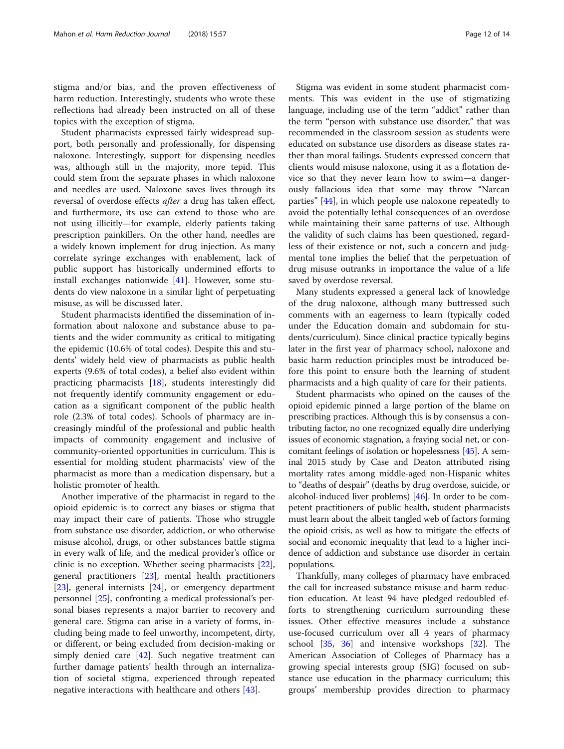stigma and/or bias, and the proven effectiveness of harm reduction. Interestingly, students who wrote these reflections had already been instructed on all of these topics with the exception of stigma.

Student pharmacists expressed fairly widespread support, both personally and professionally, for dispensing naloxone. Interestingly, support for dispensing needles was, although still in the majority, more tepid. This could stem from the separate phases in which naloxone and needles are used. Naloxone saves lives through its reversal of overdose effects after a drug has taken effect, and furthermore, its use can extend to those who are not using illicitly—for example, elderly patients taking prescription painkillers. On the other hand, needles are a widely known implement for drug injection. As many correlate syringe exchanges with enablement, lack of public support has historically undermined efforts to install exchanges nationwide [\[41](#page-13-0)]. However, some students do view naloxone in a similar light of perpetuating misuse, as will be discussed later.

Student pharmacists identified the dissemination of information about naloxone and substance abuse to patients and the wider community as critical to mitigating the epidemic (10.6% of total codes). Despite this and students' widely held view of pharmacists as public health experts (9.6% of total codes), a belief also evident within practicing pharmacists [[18\]](#page-13-0), students interestingly did not frequently identify community engagement or education as a significant component of the public health role (2.3% of total codes). Schools of pharmacy are increasingly mindful of the professional and public health impacts of community engagement and inclusive of community-oriented opportunities in curriculum. This is essential for molding student pharmacists' view of the pharmacist as more than a medication dispensary, but a holistic promoter of health.

Another imperative of the pharmacist in regard to the opioid epidemic is to correct any biases or stigma that may impact their care of patients. Those who struggle from substance use disorder, addiction, or who otherwise misuse alcohol, drugs, or other substances battle stigma in every walk of life, and the medical provider's office or clinic is no exception. Whether seeing pharmacists [\[22](#page-13-0)], general practitioners [[23\]](#page-13-0), mental health practitioners [[23\]](#page-13-0), general internists [[24](#page-13-0)], or emergency department personnel [\[25](#page-13-0)], confronting a medical professional's personal biases represents a major barrier to recovery and general care. Stigma can arise in a variety of forms, including being made to feel unworthy, incompetent, dirty, or different, or being excluded from decision-making or simply denied care  $[42]$  $[42]$ . Such negative treatment can further damage patients' health through an internalization of societal stigma, experienced through repeated negative interactions with healthcare and others [[43](#page-13-0)].

Stigma was evident in some student pharmacist comments. This was evident in the use of stigmatizing language, including use of the term "addict" rather than the term "person with substance use disorder," that was recommended in the classroom session as students were educated on substance use disorders as disease states rather than moral failings. Students expressed concern that clients would misuse naloxone, using it as a flotation device so that they never learn how to swim—a dangerously fallacious idea that some may throw "Narcan parties" [[44\]](#page-13-0), in which people use naloxone repeatedly to avoid the potentially lethal consequences of an overdose while maintaining their same patterns of use. Although the validity of such claims has been questioned, regardless of their existence or not, such a concern and judgmental tone implies the belief that the perpetuation of drug misuse outranks in importance the value of a life saved by overdose reversal.

Many students expressed a general lack of knowledge of the drug naloxone, although many buttressed such comments with an eagerness to learn (typically coded under the Education domain and subdomain for students/curriculum). Since clinical practice typically begins later in the first year of pharmacy school, naloxone and basic harm reduction principles must be introduced before this point to ensure both the learning of student pharmacists and a high quality of care for their patients.

Student pharmacists who opined on the causes of the opioid epidemic pinned a large portion of the blame on prescribing practices. Although this is by consensus a contributing factor, no one recognized equally dire underlying issues of economic stagnation, a fraying social net, or concomitant feelings of isolation or hopelessness [[45](#page-13-0)]. A seminal 2015 study by Case and Deaton attributed rising mortality rates among middle-aged non-Hispanic whites to "deaths of despair" (deaths by drug overdose, suicide, or alcohol-induced liver problems) [\[46\]](#page-13-0). In order to be competent practitioners of public health, student pharmacists must learn about the albeit tangled web of factors forming the opioid crisis, as well as how to mitigate the effects of social and economic inequality that lead to a higher incidence of addiction and substance use disorder in certain populations.

Thankfully, many colleges of pharmacy have embraced the call for increased substance misuse and harm reduction education. At least 94 have pledged redoubled efforts to strengthening curriculum surrounding these issues. Other effective measures include a substance use-focused curriculum over all 4 years of pharmacy school [\[35](#page-13-0), [36](#page-13-0)] and intensive workshops [\[32\]](#page-13-0). The American Association of Colleges of Pharmacy has a growing special interests group (SIG) focused on substance use education in the pharmacy curriculum; this groups' membership provides direction to pharmacy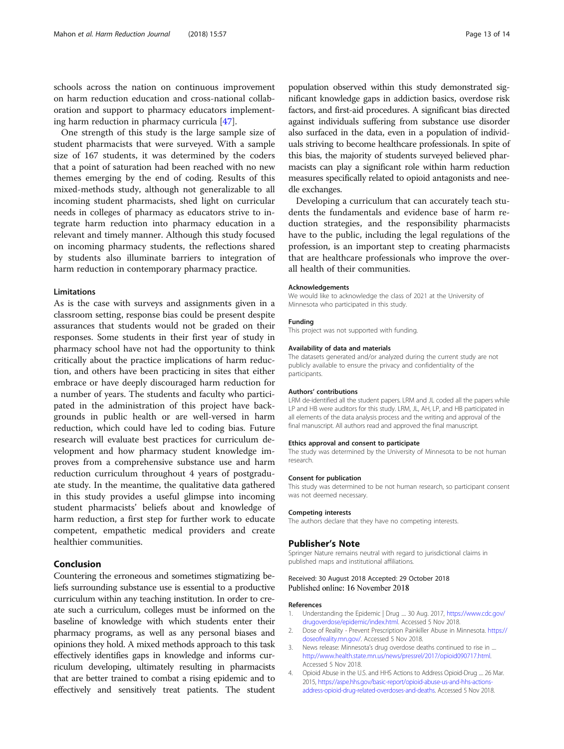<span id="page-12-0"></span>schools across the nation on continuous improvement on harm reduction education and cross-national collaboration and support to pharmacy educators implementing harm reduction in pharmacy curricula [\[47](#page-13-0)].

One strength of this study is the large sample size of student pharmacists that were surveyed. With a sample size of 167 students, it was determined by the coders that a point of saturation had been reached with no new themes emerging by the end of coding. Results of this mixed-methods study, although not generalizable to all incoming student pharmacists, shed light on curricular needs in colleges of pharmacy as educators strive to integrate harm reduction into pharmacy education in a relevant and timely manner. Although this study focused on incoming pharmacy students, the reflections shared by students also illuminate barriers to integration of harm reduction in contemporary pharmacy practice.

#### Limitations

As is the case with surveys and assignments given in a classroom setting, response bias could be present despite assurances that students would not be graded on their responses. Some students in their first year of study in pharmacy school have not had the opportunity to think critically about the practice implications of harm reduction, and others have been practicing in sites that either embrace or have deeply discouraged harm reduction for a number of years. The students and faculty who participated in the administration of this project have backgrounds in public health or are well-versed in harm reduction, which could have led to coding bias. Future research will evaluate best practices for curriculum development and how pharmacy student knowledge improves from a comprehensive substance use and harm reduction curriculum throughout 4 years of postgraduate study. In the meantime, the qualitative data gathered in this study provides a useful glimpse into incoming student pharmacists' beliefs about and knowledge of harm reduction, a first step for further work to educate competent, empathetic medical providers and create healthier communities.

## Conclusion

Countering the erroneous and sometimes stigmatizing beliefs surrounding substance use is essential to a productive curriculum within any teaching institution. In order to create such a curriculum, colleges must be informed on the baseline of knowledge with which students enter their pharmacy programs, as well as any personal biases and opinions they hold. A mixed methods approach to this task effectively identifies gaps in knowledge and informs curriculum developing, ultimately resulting in pharmacists that are better trained to combat a rising epidemic and to effectively and sensitively treat patients. The student

population observed within this study demonstrated significant knowledge gaps in addiction basics, overdose risk factors, and first-aid procedures. A significant bias directed against individuals suffering from substance use disorder also surfaced in the data, even in a population of individuals striving to become healthcare professionals. In spite of this bias, the majority of students surveyed believed pharmacists can play a significant role within harm reduction measures specifically related to opioid antagonists and needle exchanges.

Developing a curriculum that can accurately teach students the fundamentals and evidence base of harm reduction strategies, and the responsibility pharmacists have to the public, including the legal regulations of the profession, is an important step to creating pharmacists that are healthcare professionals who improve the overall health of their communities.

#### Acknowledgements

We would like to acknowledge the class of 2021 at the University of Minnesota who participated in this study.

## Funding

This project was not supported with funding.

#### Availability of data and materials

The datasets generated and/or analyzed during the current study are not publicly available to ensure the privacy and confidentiality of the participants.

#### Authors' contributions

LRM de-identified all the student papers. LRM and JL coded all the papers while LP and HB were auditors for this study. LRM, JL, AH, LP, and HB participated in all elements of the data analysis process and the writing and approval of the final manuscript. All authors read and approved the final manuscript.

#### Ethics approval and consent to participate

The study was determined by the University of Minnesota to be not human research.

#### Consent for publication

This study was determined to be not human research, so participant consent was not deemed necessary.

#### Competing interests

The authors declare that they have no competing interests.

#### Publisher's Note

Springer Nature remains neutral with regard to jurisdictional claims in published maps and institutional affiliations.

## Received: 30 August 2018 Accepted: 29 October 2018 Published online: 16 November 2018

#### References

- 1. Understanding the Epidemic | Drug .... 30 Aug. 2017, [https://www.cdc.gov/](https://www.cdc.gov/drugoverdose/epidemic/index.html) [drugoverdose/epidemic/index.html.](https://www.cdc.gov/drugoverdose/epidemic/index.html) Accessed 5 Nov 2018.
- 2. Dose of Reality Prevent Prescription Painkiller Abuse in Minnesota. [https://](https://doseofreality.mn.gov/) [doseofreality.mn.gov/](https://doseofreality.mn.gov/). Accessed 5 Nov 2018.
- 3. News release: Minnesota's drug overdose deaths continued to rise in .... <http://www.health.state.mn.us/news/pressrel/2017/opioid090717.html>. Accessed 5 Nov 2018.
- 4. Opioid Abuse in the U.S. and HHS Actions to Address Opioid-Drug .... 26 Mar. 2015, [https://aspe.hhs.gov/basic-report/opioid-abuse-us-and-hhs-actions](https://aspe.hhs.gov/basic-report/opioid-abuse-us-and-hhs-actions-address-opioid-drug-related-overdoses-and-deaths)[address-opioid-drug-related-overdoses-and-deaths](https://aspe.hhs.gov/basic-report/opioid-abuse-us-and-hhs-actions-address-opioid-drug-related-overdoses-and-deaths). Accessed 5 Nov 2018.